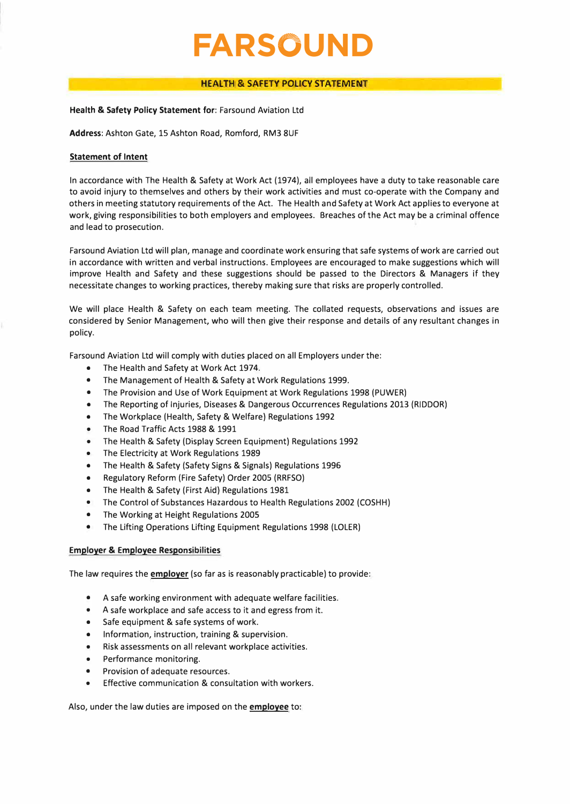## FARSÖUND

### **HEALTH & SAFETY POLICY STATEMENT**

#### **Health** & **Safety Policy Statement for:** Farsound Aviation Ltd

**Address:** Ashton Gate, 15 Ashton Road, Romford, RM3 8UF

#### **Statement of Intent**

In accordance with The Health & Safety at Work Act (1974), all employees have a duty to take reasonable care to avoid injury to themselves and others by their work activities and must co-operate with the Company and others in meeting statutory requirements of the Act. The Health and Safety at Work Act applies to everyone at work, giving responsibilities to both employers and employees. Breaches of the Act may be a criminal offence and lead to prosecution.

Farsound Aviation Ltd will plan, manage and coordinate work ensuring that safe systems of work are carried out in accordance with written and verbal instructions. Employees are encouraged to make suggestions which will improve Health and Safety and these suggestions should be passed to the Directors & Managers if they necessitate changes to working practices, thereby making sure that risks are properly controlled.

We will place Health & Safety on each team meeting. The collated requests, observations and issues are considered by Senior Management, who will then give their response and details of any resultant changes in policy.

Farsound Aviation Ltd will comply with duties placed on all Employers under the:

- The Health and Safety at Work Act 1974.
- The Management of Health & Safety at Work Regulations 1999.
- The Provision and Use of Work Equipment at Work Regulations 1998 (PUWER)
- The Reporting of Injuries, Diseases & Dangerous Occurrences Regulations 2013 (RIDDOR)
- The Workplace (Health, Safety & Welfare) Regulations 1992
- The Road Traffic Acts 1988 & 1991
- The Health & Safety (Display Screen Equipment) Regulations 1992
- The Electricity at Work Regulations 1989
- The Health & Safety (Safety Signs & Signals) Regulations 1996
- Regulatory Reform (Fire Safety) Order 2005 (RRFSO)
- The Health & Safety (First Aid) Regulations 1981
- The Control of Substances Hazardous to Health Regulations 2002 (COSHH)
- The Working at Height Regulations 2005
- The Lifting Operations Lifting Equipment Regulations 1998 (LOLER)

### **Employer & Employee Responsibilities**

The law requires the **employer** (so far as is reasonably practicable) to provide:

- A safe working environment with adequate welfare facilities.
- A safe workplace and safe access to it and egress from it.
- Safe equipment & safe systems of work.
- Information, instruction, training & supervision.
- Risk assessments on all relevant workplace activities.
- Performance monitoring.
- Provision of adequate resources.
- Effective communication & consultation with workers.

Also, under the law duties are imposed on the **employee** to: